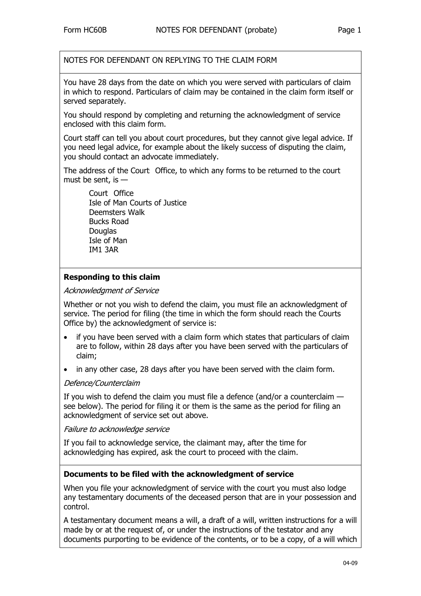NOTES FOR DEFENDANT ON REPLYING TO THE CLAIM FORM

You have 28 days from the date on which you were served with particulars of claim in which to respond. Particulars of claim may be contained in the claim form itself or served separately.

You should respond by completing and returning the acknowledgment of service enclosed with this claim form.

Court staff can tell you about court procedures, but they cannot give legal advice. If you need legal advice, for example about the likely success of disputing the claim, you should contact an advocate immediately.

The address of the Court Office, to which any forms to be returned to the court must be sent, is —

Court Office Isle of Man Courts of Justice Deemsters Walk Bucks Road **Douglas** Isle of Man IM1 3AR

## **Responding to this claim**

### Acknowledgment of Service

Whether or not you wish to defend the claim, you must file an acknowledgment of service. The period for filing (the time in which the form should reach the Courts Office by) the acknowledgment of service is:

- if you have been served with a claim form which states that particulars of claim are to follow, within 28 days after you have been served with the particulars of claim;
- in any other case, 28 days after you have been served with the claim form.

### Defence/Counterclaim

If you wish to defend the claim you must file a defence (and/or a counterclaim see below). The period for filing it or them is the same as the period for filing an acknowledgment of service set out above.

### Failure to acknowledge service

If you fail to acknowledge service, the claimant may, after the time for acknowledging has expired, ask the court to proceed with the claim.

### **Documents to be filed with the acknowledgment of service**

When you file your acknowledgment of service with the court you must also lodge any testamentary documents of the deceased person that are in your possession and control.

A testamentary document means a will, a draft of a will, written instructions for a will made by or at the request of, or under the instructions of the testator and any documents purporting to be evidence of the contents, or to be a copy, of a will which